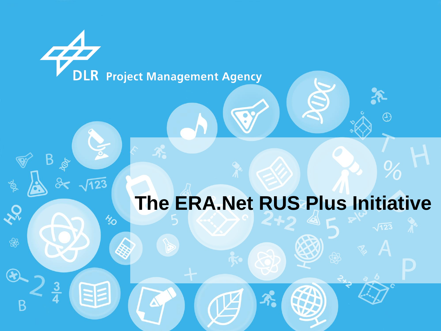**DLR** Project Management Agency

B

 $\frac{3}{4}$ 

 $\frac{2}{3}$ 

**SS** 

 $\circledR$ 

B

**R** 

 $\frac{1}{2}$ 

EE

## **The ERA.Net RUS Plus Initiative**

 $\left\langle \cdot \right\rangle$ 

 $\mathcal{X}$ 

 $\bigodot$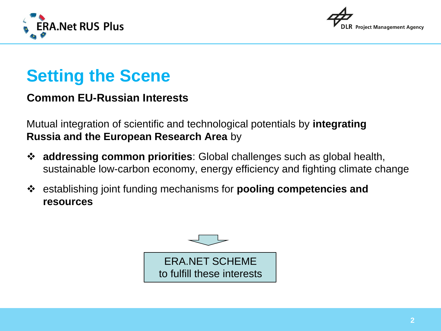



## **Setting the Scene**

### **Common EU-Russian Interests**

Mutual integration of scientific and technological potentials by **integrating Russia and the European Research Area** by

- **addressing common priorities**: Global challenges such as global health, sustainable low-carbon economy, energy efficiency and fighting climate change
- establishing joint funding mechanisms for **pooling competencies and resources**

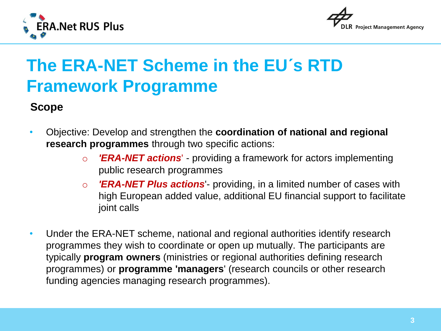



## **The ERA-NET Scheme in the EU´s RTD Framework Programme**

### **Scope**

- Objective: Develop and strengthen the **coordination of national and regional research programmes** through two specific actions:
	- o *'ERA-NET actions*' providing a framework for actors implementing public research programmes
	- o *'ERA-NET Plus actions*'- providing, in a limited number of cases with high European added value, additional EU financial support to facilitate joint calls
- Under the ERA-NET scheme, national and regional authorities identify research programmes they wish to coordinate or open up mutually. The participants are typically **program owners** (ministries or regional authorities defining research programmes) or **programme 'managers**' (research councils or other research funding agencies managing research programmes).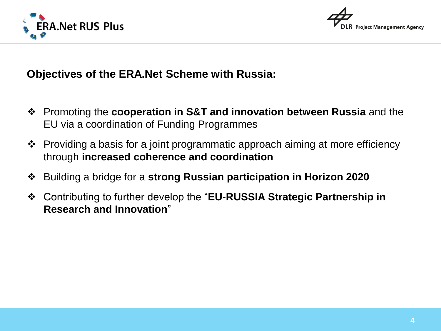



**Objectives of the ERA.Net Scheme with Russia:**

- Promoting the **cooperation in S&T and innovation between Russia** and the EU via a coordination of Funding Programmes
- Providing a basis for a joint programmatic approach aiming at more efficiency through **increased coherence and coordination**
- Building a bridge for a **strong Russian participation in Horizon 2020**
- Contributing to further develop the "**EU-RUSSIA Strategic Partnership in Research and Innovation**"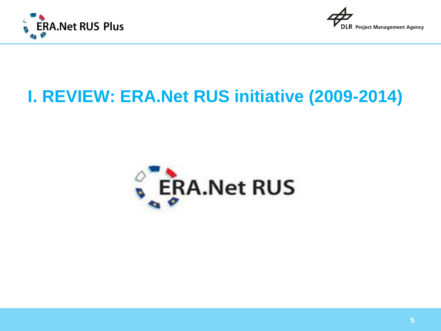



## **I. REVIEW: ERA.Net RUS initiative (2009-2014)**

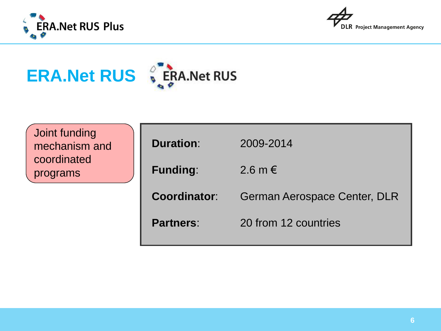





| Joint funding<br>mechanism and | <b>Duration:</b>    | 2009-2014                    |
|--------------------------------|---------------------|------------------------------|
| coordinated<br>programs        | <b>Funding:</b>     | 2.6 m $\in$                  |
|                                | <b>Coordinator:</b> | German Aerospace Center, DLR |
|                                | <b>Partners:</b>    | 20 from 12 countries         |
|                                |                     |                              |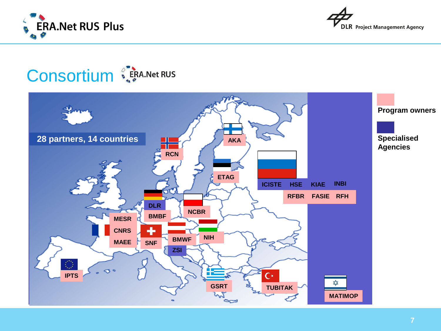



## **Consortium**

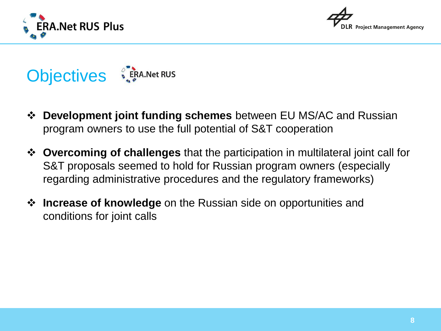





- **Development joint funding schemes** between EU MS/AC and Russian program owners to use the full potential of S&T cooperation
- **Overcoming of challenges** that the participation in multilateral joint call for S&T proposals seemed to hold for Russian program owners (especially regarding administrative procedures and the regulatory frameworks)
- **Increase of knowledge** on the Russian side on opportunities and conditions for joint calls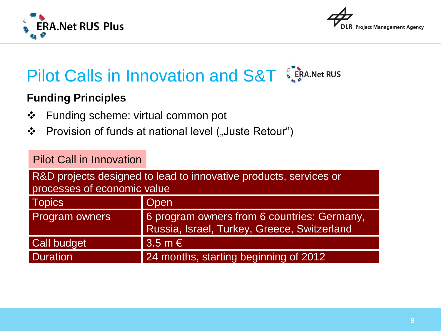



### **Funding Principles**

- ❖ Funding scheme: virtual common pot
- ❖ Provision of funds at national level ("Juste Retour")

### Pilot Call in Innovation

R&D projects designed to lead to innovative products, services or processes of economic value

| <b>Topics</b>         | <b>Open</b>                                                                                |
|-----------------------|--------------------------------------------------------------------------------------------|
| <b>Program owners</b> | 6 program owners from 6 countries: Germany,<br>Russia, Israel, Turkey, Greece, Switzerland |
| Call budget           | $3.5 \text{ m} \in$                                                                        |
| <b>Duration</b>       | 24 months, starting beginning of 2012                                                      |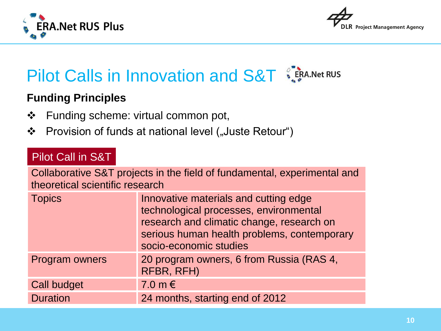



### **Funding Principles**

- ❖ Funding scheme: virtual common pot,
- ❖ Provision of funds at national level ("Juste Retour")

### Pilot Call in S&T

Collaborative S&T projects in the field of fundamental, experimental and theoretical scientific research

| <b>Topics</b>      | Innovative materials and cutting edge<br>technological processes, environmental<br>research and climatic change, research on<br>serious human health problems, contemporary<br>socio-economic studies |  |
|--------------------|-------------------------------------------------------------------------------------------------------------------------------------------------------------------------------------------------------|--|
| Program owners     | 20 program owners, 6 from Russia (RAS 4,<br>RFBR, RFH)                                                                                                                                                |  |
| <b>Call budget</b> | 7.0 m $\epsilon$                                                                                                                                                                                      |  |
| <b>Duration</b>    | 24 months, starting end of 2012                                                                                                                                                                       |  |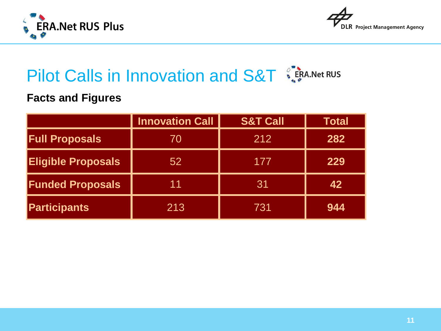



### **Facts and Figures**

|                           | <b>Innovation Call</b> | <b>S&amp;T Call</b> | Total |
|---------------------------|------------------------|---------------------|-------|
| <b>Full Proposals</b>     | 70                     | 212                 | 282   |
| <b>Eligible Proposals</b> | 52                     | 177                 | 229   |
| <b>Funded Proposals</b>   | 11                     | 31                  | 42    |
| <b>Participants</b>       | 213                    | 731                 | 944   |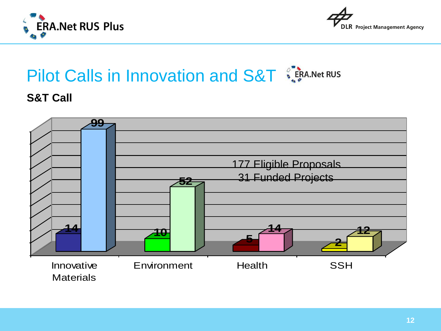



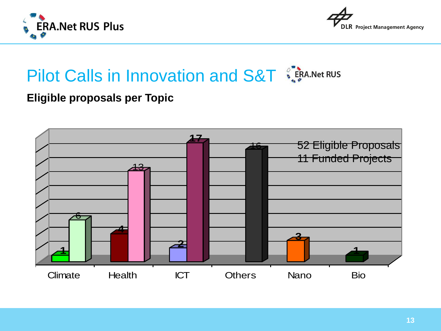



### **Eligible proposals per Topic**

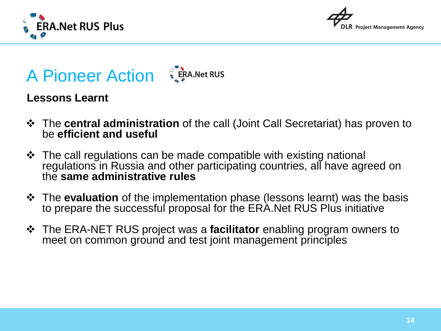





### **Lessons Learnt**

- The **central administration** of the call (Joint Call Secretariat) has proven to be **efficient and useful**
- $\cdot$  The call regulations can be made compatible with existing national regulations in Russia and other participating countries, all have agreed on the **same administrative rules**
- The **evaluation** of the implementation phase (lessons learnt) was the basis to prepare the successful proposal for the ERA.Net RUS Plus initiative
- The ERA-NET RUS project was a **facilitator** enabling program owners to meet on common ground and test joint management principles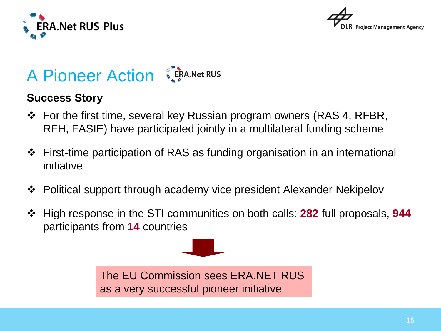



## A Pioneer Action SERA.Net RUS

### **Success Story**

- For the first time, several key Russian program owners (RAS 4, RFBR, RFH, FASIE) have participated jointly in a multilateral funding scheme
- First-time participation of RAS as funding organisation in an international initiative
- **❖** Political support through academy vice president Alexander Nekipelov
- High response in the STI communities on both calls: **282** full proposals, **944** participants from **14** countries

The EU Commission sees ERA.NET RUS as a very successful pioneer initiative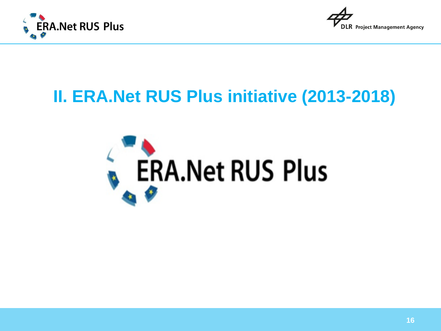



## **II. ERA.Net RUS Plus initiative (2013-2018)**

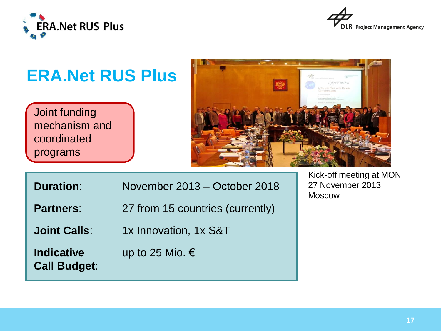

**Call Budget**:



## **ERA.Net RUS Plus** Joint funding mechanism and coordinated programs Kick-off meeting at MON

**Duration**: November 2013 – October 2018

**Partners:** 27 from 15 countries (currently)

**Joint Calls:** 1x Innovation, 1x S&T

**Indicative** up to 25 Mio. €

27 November 2013 Moscow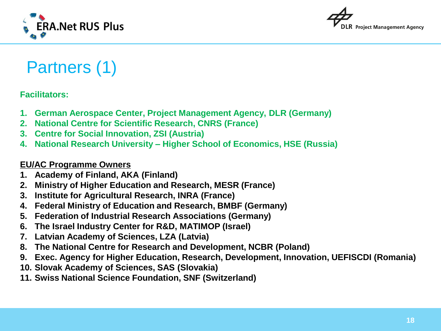



## Partners (1)

#### **Facilitators:**

- **1. German Aerospace Center, Project Management Agency, DLR (Germany)**
- **2. National Centre for Scientific Research, CNRS (France)**
- **3. Centre for Social Innovation, ZSI (Austria)**
- **4. National Research University – Higher School of Economics, HSE (Russia)**

#### **EU/AC Programme Owners**

- **1. Academy of Finland, AKA (Finland)**
- **2. Ministry of Higher Education and Research, MESR (France)**
- **3. Institute for Agricultural Research, INRA (France)**
- **4. Federal Ministry of Education and Research, BMBF (Germany)**
- **5. Federation of Industrial Research Associations (Germany)**
- **6. The Israel Industry Center for R&D, MATIMOP (Israel)**
- **7. Latvian Academy of Sciences, LZA (Latvia)**
- **8. The National Centre for Research and Development, NCBR (Poland)**
- **9. Exec. Agency for Higher Education, Research, Development, Innovation, UEFISCDI (Romania)**
- **10. Slovak Academy of Sciences, SAS (Slovakia)**
- **11. Swiss National Science Foundation, SNF (Switzerland)**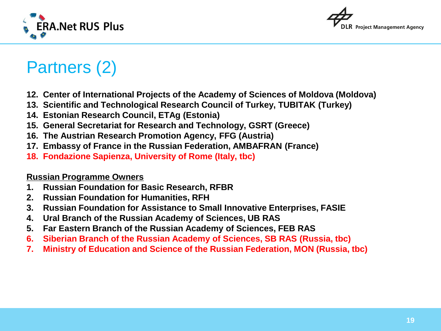



## Partners (2)

- **12. Center of International Projects of the Academy of Sciences of Moldova (Moldova)**
- **13. Scientific and Technological Research Council of Turkey, TUBITAK (Turkey)**
- **14. Estonian Research Council, ETAg (Estonia)**
- **15. General Secretariat for Research and Technology, GSRT (Greece)**
- **16. The Austrian Research Promotion Agency, FFG (Austria)**
- **17. Embassy of France in the Russian Federation, AMBAFRAN (France)**
- **18. Fondazione Sapienza, University of Rome (Italy, tbc)**

#### **Russian Programme Owners**

- **1. Russian Foundation for Basic Research, RFBR**
- **2. Russian Foundation for Humanities, RFH**
- **3. Russian Foundation for Assistance to Small Innovative Enterprises, FASIE**
- **4. Ural Branch of the Russian Academy of Sciences, UB RAS**
- **5. Far Eastern Branch of the Russian Academy of Sciences, FEB RAS**
- **6. Siberian Branch of the Russian Academy of Sciences, SB RAS (Russia, tbc)**
- **7. Ministry of Education and Science of the Russian Federation, MON (Russia, tbc)**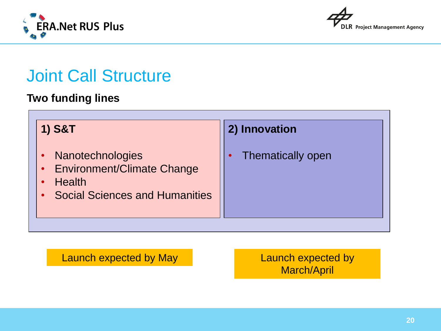



## Joint Call Structure

### **Two funding lines**

| <b>1) S&amp;T</b>                                                                                          | 2) Innovation     |
|------------------------------------------------------------------------------------------------------------|-------------------|
| Nanotechnologies<br>• Environment/Climate Change<br><b>Health</b><br><b>Social Sciences and Humanities</b> | Thematically open |

Launch expected by May **Launch expected by** 

March/April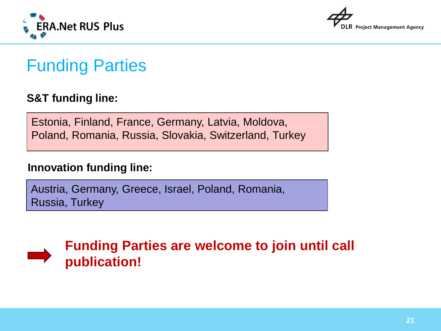



## Funding Parties

### **S&T funding line:**

Estonia, Finland, France, Germany, Latvia, Moldova, Poland, Romania, Russia, Slovakia, Switzerland, Turkey

### **Innovation funding line:**

Austria, Germany, Greece, Israel, Poland, Romania, Russia, Turkey



**Funding Parties are welcome to join until call publication!**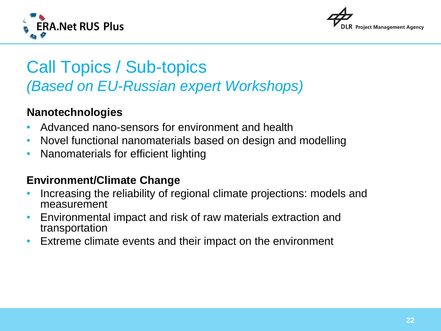



## Call Topics / Sub-topics *(Based on EU-Russian expert Workshops)*

### **Nanotechnologies**

- Advanced nano-sensors for environment and health
- Novel functional nanomaterials based on design and modelling
- Nanomaterials for efficient lighting

### **Environment/Climate Change**

- Increasing the reliability of regional climate projections: models and measurement
- Environmental impact and risk of raw materials extraction and transportation
- Extreme climate events and their impact on the environment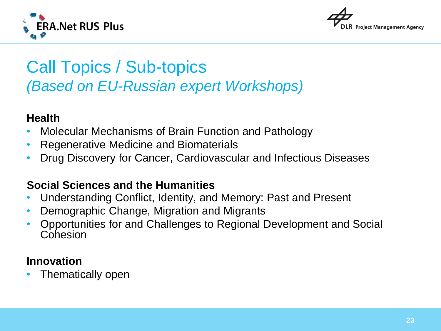



## Call Topics / Sub-topics *(Based on EU-Russian expert Workshops)*

### **Health**

- Molecular Mechanisms of Brain Function and Pathology
- Regenerative Medicine and Biomaterials
- Drug Discovery for Cancer, Cardiovascular and Infectious Diseases

### **Social Sciences and the Humanities**

- Understanding Conflict, Identity, and Memory: Past and Present
- Demographic Change, Migration and Migrants
- Opportunities for and Challenges to Regional Development and Social Cohesion

### **Innovation**

• Thematically open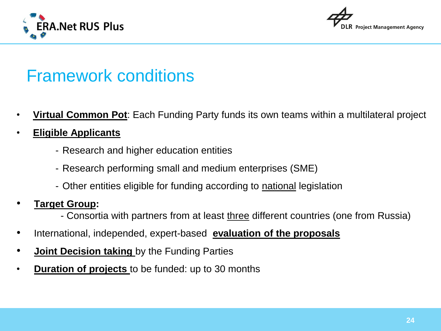



## Framework conditions

- **Virtual Common Pot**: Each Funding Party funds its own teams within a multilateral project
- **Eligible Applicants**
	- Research and higher education entities
	- Research performing small and medium enterprises (SME)
	- Other entities eligible for funding according to national legislation

### • **Target Group:**

- Consortia with partners from at least three different countries (one from Russia)
- International, independed, expert-based **evaluation of the proposals**
- **Joint Decision taking** by the Funding Parties
- **Duration of projects** to be funded: up to 30 months